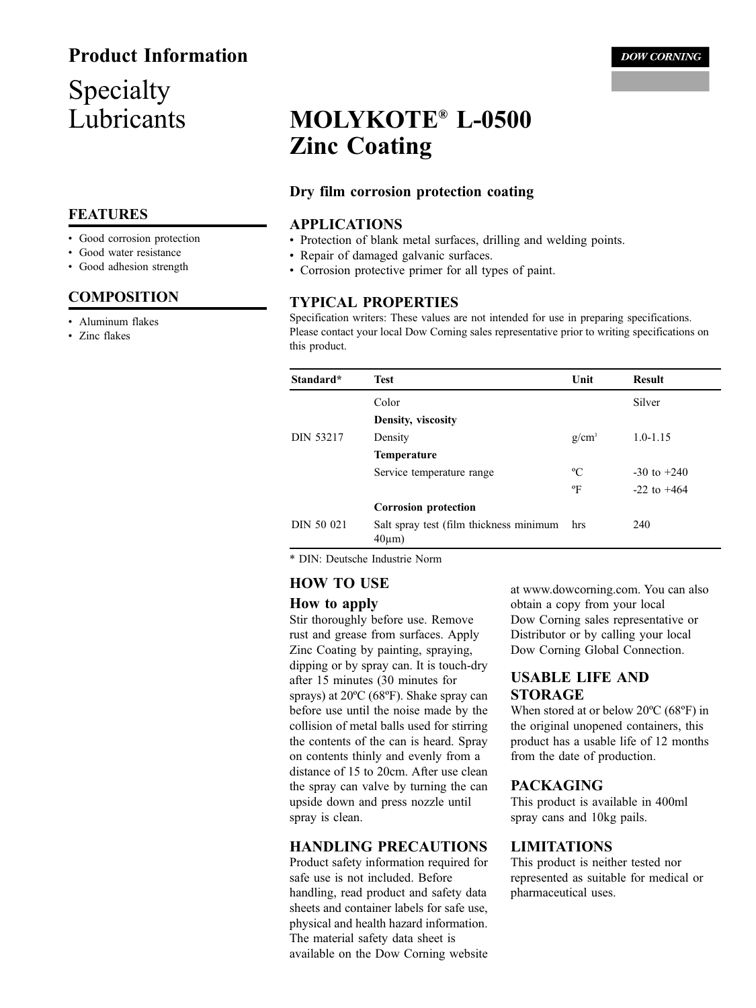## **Product Information**

## Specialty Lubricants

### **FEATURES**

- Good corrosion protection
- Good water resistance
- Good adhesion strength

#### **COMPOSITION**

- Aluminum flakes
- Zinc flakes

# MOLYKOTE® L-0500 **Zinc Coating**

#### Dry film corrosion protection coating

#### **APPLICATIONS**

- Protection of blank metal surfaces, drilling and welding points.
- Repair of damaged galvanic surfaces.
- Corrosion protective primer for all types of paint.

#### **TYPICAL PROPERTIES**

Specification writers: These values are not intended for use in preparing specifications. Please contact your local Dow Corning sales representative prior to writing specifications on this product.

| Standard*        | <b>Test</b>                                             | Unit         | <b>Result</b>   |
|------------------|---------------------------------------------------------|--------------|-----------------|
|                  | Color                                                   |              | Silver          |
|                  | Density, viscosity                                      |              |                 |
| <b>DIN 53217</b> | Density                                                 | $g/cm^3$     | $1.0 - 1.15$    |
|                  | <b>Temperature</b>                                      |              |                 |
|                  | Service temperature range                               | $\rm ^{o}C$  | $-30$ to $+240$ |
|                  |                                                         | $\mathrm{P}$ | $-22$ to $+464$ |
|                  | <b>Corrosion protection</b>                             |              |                 |
| DIN 50 021       | Salt spray test (film thickness minimum<br>$40 \mu m$ ) | hrs          | 240             |

\* DIN: Deutsche Industrie Norm

#### **HOW TO USE**

#### How to apply

Stir thoroughly before use. Remove rust and grease from surfaces. Apply Zinc Coating by painting, spraying, dipping or by spray can. It is touch-dry after 15 minutes (30 minutes for sprays) at  $20^{\circ}$ C (68 $^{\circ}$ F). Shake spray can before use until the noise made by the collision of metal balls used for stirring the contents of the can is heard. Spray on contents thinly and evenly from a distance of 15 to 20cm. After use clean the spray can valve by turning the can upside down and press nozzle until spray is clean.

#### **HANDLING PRECAUTIONS**

Product safety information required for safe use is not included. Before handling, read product and safety data sheets and container labels for safe use, physical and health hazard information. The material safety data sheet is available on the Dow Corning website at www.dowcorning.com. You can also obtain a copy from your local Dow Corning sales representative or Distributor or by calling your local Dow Corning Global Connection.

#### **USABLE LIFE AND STORAGE**

When stored at or below 20°C (68°F) in the original unopened containers, this product has a usable life of 12 months from the date of production.

#### **PACKAGING**

This product is available in 400ml spray cans and 10kg pails.

#### **LIMITATIONS**

This product is neither tested nor represented as suitable for medical or pharmaceutical uses.